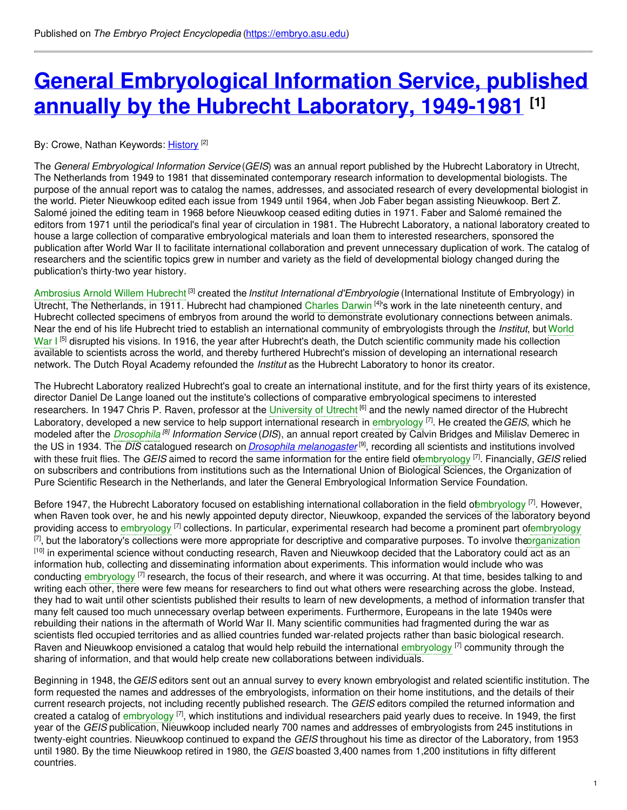# **General [Embryological](https://embryo.asu.edu/pages/general-embryological-information-service-published-annually-hubrecht-laboratory-1949-1981) Information Service, published annually by the Hubrecht Laboratory, 1949-1981 [1]**

By: Crowe, Nathan Keywords: <u>[History](https://embryo.asu.edu/keywords/history)</u> <sup>[2]</sup>

The *General Embryological Information Service* (*GEIS*) was an annual report published by the Hubrecht Laboratory in Utrecht, The Netherlands from 1949 to 1981 that disseminated contemporary research information to developmental biologists. The purpose of the annual report was to catalog the names, addresses, and associated research of every developmental biologist in the world. Pieter Nieuwkoop edited each issue from 1949 until 1964, when Job Faber began assisting Nieuwkoop. Bert Z. Salomé joined the editing team in 1968 before Nieuwkoop ceased editing duties in 1971. Faber and Salomé remained the editors from 1971 until the periodical's final year of circulation in 1981. The Hubrecht Laboratory, a national laboratory created to house a large collection of comparative embryological materials and loan them to interested researchers, sponsored the publication after World War II to facilitate international collaboration and prevent unnecessary duplication of work. The catalog of researchers and the scientific topics grew in number and variety as the field of developmental biology changed during the publication's thirty-two year history.

[Ambrosius](https://embryo.asu.edu/search?text=Ambrosius%20Arnold%20Willem%20Hubrecht) Arnold Willem Hubrecht<sup>[3]</sup> created the *Institut International d'Embryologie* (International Institute of Embryology) in Utrecht, The Netherlands, in 1911. Hubrecht had championed [Charles](https://embryo.asu.edu/search?text=Charles%20Darwin) Darwin <sup>[4]</sup>'s work in the late nineteenth century, and Hubrecht collected specimens of embryos from around the world to demonstrate evolutionary connections between animals. Near the end of his life Hubrecht tried to establish an international community of [embryologists](https://embryo.asu.edu/search?text=World%20War%20I) through the *Institut*, but World War I<sup>[5]</sup> disrupted his visions. In 1916, the year after Hubrecht's death, the Dutch scientific community made his collection available to scientists across the world, and thereby furthered Hubrecht's mission of developing an international research network. The Dutch Royal Academy refounded the *Institut* as the Hubrecht Laboratory to honor its creator.

The Hubrecht Laboratory realized Hubrecht's goal to create an international institute, and for the first thirty years of its existence, director Daniel De Lange loaned out the institute's collections of comparative embryological specimens to interested researchers. In 1947 Chris P. Raven, professor at the [University](https://embryo.asu.edu/search?text=University%20of%20Utrecht) of Utrecht <sup>[6]</sup> and the newly named director of the Hubrecht Laboratory, developed a new service to help support international research in [embryology](https://embryo.asu.edu/search?text=embryology) [7] . He created the*GEIS*, which he modeled after the *[Drosophila](https://embryo.asu.edu/search?text=Drosophila) <sup>[8]</sup> Information Service (DIS*), an annual report created by Calvin Bridges and Milislav Demerec in the US in 1934. The *DIS* catalogued research on *Drosophila [melanogaster](http://eol.org/pages/733739/overview)* [9] , recording all scientists and institutions involved with these fruit flies. The *GEIS* aimed to record the same information for the entire field o[fembryology](https://embryo.asu.edu/search?text=embryology) [7] . Financially, *GEIS* relied on subscribers and contributions from institutions such as the International Union of Biological Sciences, the Organization of Pure Scientific Research in the Netherlands, and later the General Embryological Information Service Foundation.

Before 1947, the Hubrecht Laboratory focused on establishing international collaboration in the field o[fembryology](https://embryo.asu.edu/search?text=embryology) <sup>[7]</sup>. However, when Raven took over, he and his newly appointed deputy director, Nieuwkoop, expanded the services of the laboratory beyond providing access to [embryology](https://embryo.asu.edu/search?text=embryology) <sup>[7]</sup> collections. In particular, experimental research had become a prominent part o[fembryology](https://embryo.asu.edu/search?text=embryology) <sup>[7]</sup>, but the laboratory's collections were more appropriate for descriptive and comparative purposes. To involve th[eorganization](https://embryo.asu.edu/search?text=organization) <sup>[10]</sup> in experimental science without conducting research, Raven and Nieuwkoop decided that the Laboratory could act as an information hub, collecting and disseminating information about experiments. This information would include who was conducting [embryology](https://embryo.asu.edu/search?text=embryology) <sup>[7]</sup> research, the focus of their research, and where it was occurring. At that time, besides talking to and writing each other, there were few means for researchers to find out what others were researching across the globe. Instead, they had to wait until other scientists published their results to learn of new developments, a method of information transfer that many felt caused too much unnecessary overlap between experiments. Furthermore, Europeans in the late 1940s were rebuilding their nations in the aftermath of World War II. Many scientific communities had fragmented during the war as scientists fled occupied territories and as allied countries funded war-related projects rather than basic biological research. Raven and Nieuwkoop envisioned a catalog that would help rebuild the international [embryology](https://embryo.asu.edu/search?text=embryology) <sup>[7]</sup> community through the sharing of information, and that would help create new collaborations between individuals.

Beginning in 1948, the*GEIS* editors sent out an annual survey to every known embryologist and related scientific institution. The form requested the names and addresses of the embryologists, information on their home institutions, and the details of their current research projects, not including recently published research. The *GEIS* editors compiled the returned information and created a catalog of [embryology](https://embryo.asu.edu/search?text=embryology) <sup>[7]</sup>, which institutions and individual researchers paid yearly dues to receive. In 1949, the first year of the *GEIS* publication, Nieuwkoop included nearly 700 names and addresses of embryologists from 245 institutions in twenty-eight countries. Nieuwkoop continued to expand the *GEIS* throughout his time as director of the Laboratory, from 1953 until 1980. By the time Nieuwkoop retired in 1980, the *GEIS* boasted 3,400 names from 1,200 institutions in fifty different countries.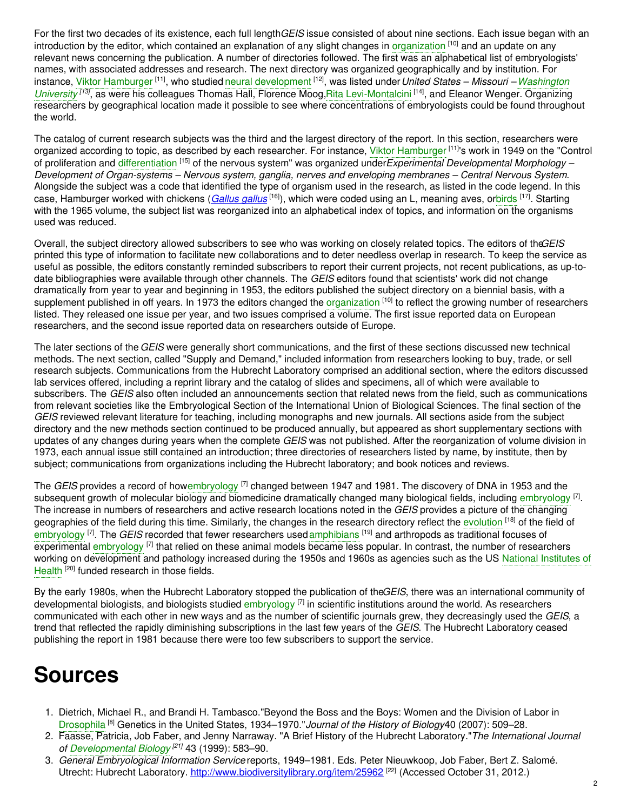For the first two decades of its existence, each full length*GEIS* issue consisted of about nine sections. Each issue began with an introduction by the editor, which contained an explanation of any slight changes in [organization](https://embryo.asu.edu/search?text=organization) <sup>[10]</sup> and an update on any relevant news concerning the publication. A number of directories followed. The first was an alphabetical list of embryologists' names, with associated addresses and research. The next directory was organized geographically and by institution. For instance, Viktor [Hamburger](https://embryo.asu.edu/search?text=Viktor%20Hamburger) <sup>[11]</sup>, who studied neural [development](https://embryo.asu.edu/search?text=neural%20development) <sup>[12]</sup>, was listed under *United States – Missouri – Washington* University<sup>[13]</sup>, as were his colleagues Thomas Hall, Florence Moog, Rita [Levi-Montalcini](https://embryo.asu.edu/search?text=Washington%20University)<sup>[14]</sup>, and Eleanor Wenger. Organizing researchers by geographical location made it possible to see where concentrations of embryologists could be found throughout the world.

The catalog of current research subjects was the third and the largest directory of the report. In this section, researchers were organized according to topic, as described by each researcher. For instance, Viktor [Hamburger](https://embryo.asu.edu/search?text=Viktor%20Hamburger) [11]'s work in 1949 on the "Control of proliferation and [differentiation](https://embryo.asu.edu/search?text=differentiation) [15] of the nervous system" was organized under*Experimental Developmental Morphology – Development of Organ-systems – Nervous system, ganglia, nerves and enveloping membranes – Central Nervous System*. Alongside the subject was a code that identified the type of organism used in the research, as listed in the code legend. In this case, Hamburger worked with chickens (*[Gallus](http://eol.org/pages/1049263/overview) gallus* <sup>[16]</sup>), which were coded using an L, meaning aves, o[rbirds](https://embryo.asu.edu/search?text=birds) <sup>[17]</sup>. Starting with the 1965 volume, the subject list was reorganized into an alphabetical index of topics, and information on the organisms used was reduced.

Overall, the subject directory allowed subscribers to see who was working on closely related topics. The editors of the*GEIS* printed this type of information to facilitate new collaborations and to deter needless overlap in research. To keep the service as useful as possible, the editors constantly reminded subscribers to report their current projects, not recent publications, as up-todate bibliographies were available through other channels. The *GEIS* editors found that scientists' work did not change dramatically from year to year and beginning in 1953, the editors published the subject directory on a biennial basis, with a supplement published in off years. In 1973 the editors changed the [organization](https://embryo.asu.edu/search?text=organization) <sup>[10]</sup> to reflect the growing number of researchers listed. They released one issue per year, and two issues comprised a volume. The first issue reported data on European researchers, and the second issue reported data on researchers outside of Europe.

The later sections of the *GEIS* were generally short communications, and the first of these sections discussed new technical methods. The next section, called "Supply and Demand," included information from researchers looking to buy, trade, or sell research subjects. Communications from the Hubrecht Laboratory comprised an additional section, where the editors discussed lab services offered, including a reprint library and the catalog of slides and specimens, all of which were available to subscribers. The *GEIS* also often included an announcements section that related news from the field, such as communications from relevant societies like the Embryological Section of the International Union of Biological Sciences. The final section of the *GEIS* reviewed relevant literature for teaching, including monographs and new journals. All sections aside from the subject directory and the new methods section continued to be produced annually, but appeared as short supplementary sections with updates of any changes during years when the complete *GEIS* was not published. After the reorganization of volume division in 1973, each annual issue still contained an introduction; three directories of researchers listed by name, by institute, then by subject; communications from organizations including the Hubrecht laboratory; and book notices and reviews.

The *GEIS* provides a record of how[embryology](https://embryo.asu.edu/search?text=embryology) <sup>[7]</sup> changed between 1947 and 1981. The discovery of DNA in 1953 and the subsequent growth of molecular biology and biomedicine dramatically changed many biological fields, including [embryology](https://embryo.asu.edu/search?text=embryology) <sup>[7]</sup>. The increase in numbers of researchers and active research locations noted in the *GEIS* provides a picture of the changing geographies of the field during this time. Similarly, the changes in the research directory reflect the [evolution](https://embryo.asu.edu/search?text=evolution) <sup>[18]</sup> of the field of [embryology](https://embryo.asu.edu/search?text=embryology) <sup>[7]</sup>. The *GEIS* recorded that fewer researchers used [amphibians](https://embryo.asu.edu/search?text=amphibians) <sup>[19]</sup> and arthropods as traditional focuses of experimental [embryology](https://embryo.asu.edu/search?text=embryology) <sup>[7]</sup> that relied on these animal models became less popular. In contrast, the number of researchers working on [development](https://embryo.asu.edu/search?text=National%20Institutes%20of%20Health) and pathology increased during the 1950s and 1960s as agencies such as the US National Institutes of Health<sup>[20]</sup> funded research in those fields.

By the early 1980s, when the Hubrecht Laboratory stopped the publication of the*GEIS*, there was an international community of developmental biologists, and biologists studied [embryology](https://embryo.asu.edu/search?text=embryology) <sup>[7]</sup> in scientific institutions around the world. As researchers communicated with each other in new ways and as the number of scientific journals grew, they decreasingly used the *GEIS*, a trend that reflected the rapidly diminishing subscriptions in the last few years of the *GEIS*. The Hubrecht Laboratory ceased publishing the report in 1981 because there were too few subscribers to support the service.

# **Sources**

- 1. Dietrich, Michael R., and Brandi H. Tambasco."Beyond the Boss and the Boys: Women and the Division of Labor in [Drosophila](https://embryo.asu.edu/search?text=Drosophila) [8] Genetics in the United States, 1934–1970."*Journal of the History of Biology*40 (2007): 509–28.
- 2. Faasse, Patricia, Job Faber, and Jenny Narraway. "A Brief History of the Hubrecht Laboratory."*The International Journal of [Developmental](https://embryo.asu.edu/search?text=Developmental%20Biology) Biology [21]* 43 (1999): 583–90.
- 3. *General Embryological Information Service* reports, 1949–1981. Eds. Peter Nieuwkoop, Job Faber, Bert Z. Salomé. Utrecht: Hubrecht Laboratory. <http://www.biodiversitylibrary.org/item/25962><sup>[22]</sup> (Accessed October 31, 2012.)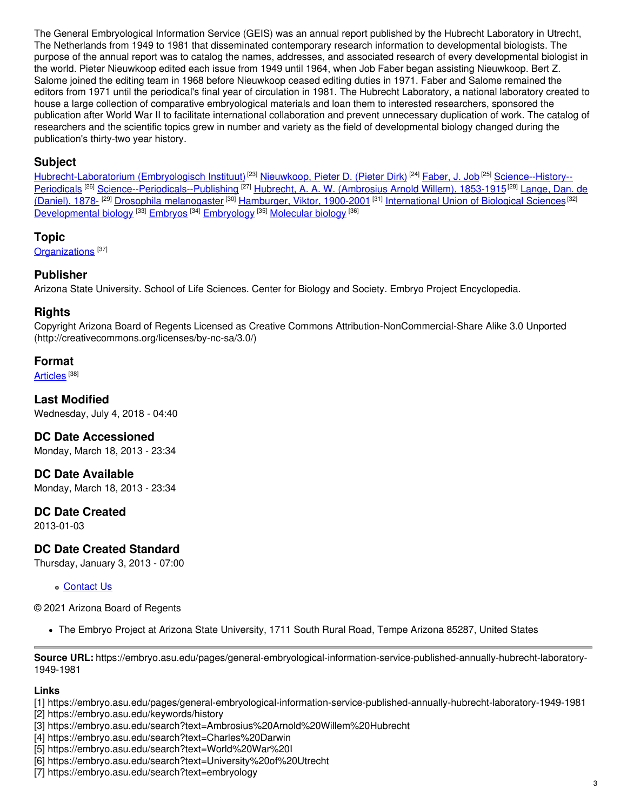The General Embryological Information Service (GEIS) was an annual report published by the Hubrecht Laboratory in Utrecht, The Netherlands from 1949 to 1981 that disseminated contemporary research information to developmental biologists. The purpose of the annual report was to catalog the names, addresses, and associated research of every developmental biologist in the world. Pieter Nieuwkoop edited each issue from 1949 until 1964, when Job Faber began assisting Nieuwkoop. Bert Z. Salome joined the editing team in 1968 before Nieuwkoop ceased editing duties in 1971. Faber and Salome remained the editors from 1971 until the periodical's final year of circulation in 1981. The Hubrecht Laboratory, a national laboratory created to house a large collection of comparative embryological materials and loan them to interested researchers, sponsored the publication after World War II to facilitate international collaboration and prevent unnecessary duplication of work. The catalog of researchers and the scientific topics grew in number and variety as the field of developmental biology changed during the publication's thirty-two year history.

## **Subject**

[Hubrecht-Laboratorium](https://embryo.asu.edu/library-congress-subject-headings/hubrecht-laboratorium-embryologisch-instituut) (Embryologisch Instituut)<sup>[23]</sup> [Nieuwkoop,](https://embryo.asu.edu/library-congress-subject-headings/nieuwkoop-pieter-d-pieter-dirk) Pieter D. (Pieter Dirk)<sup>[24]</sup> [Faber,](https://embryo.asu.edu/library-congress-subject-headings/faber-j-job) J. Job<sup>[25]</sup> Science--History--Periodicals <sup>[26]</sup> [Science--Periodicals--Publishing](https://embryo.asu.edu/library-congress-subject-headings/lange-dan-de-daniel-1878) <sup>[27]</sup> Hubrecht, A. A. W. [\(Ambrosius](https://embryo.asu.edu/library-congress-subject-headings/hubrecht-w-ambrosius-arnold-willem-1853-1915) Arnold Willem), 1853-1915<sup>[28]</sup> Lange, Dan. de (Daniel), 1878- <sup>[29]</sup> Drosophila [melanogaster](https://embryo.asu.edu/library-congress-subject-headings/drosophila-melanogaster) <sup>[30]</sup> [Hamburger,](https://embryo.asu.edu/library-congress-subject-headings/hamburger-viktor-1900-2001) Viktor, 1900-2001 <sup>[31]</sup> [International](https://embryo.asu.edu/library-congress-subject-headings/international-union-biological-sciences) Union of Biological Sciences <sup>[32]</sup> [Developmental](https://embryo.asu.edu/library-congress-subject-headings/developmental-biology) biology<sup>[33]</sup> [Embryos](https://embryo.asu.edu/library-congress-subject-headings/embryos) <sup>[34]</sup> [Embryology](https://embryo.asu.edu/library-congress-subject-headings/embryology) <sup>[35]</sup> [Molecular](https://embryo.asu.edu/library-congress-subject-headings/molecular-biology) biology <sup>[36]</sup>

#### **Topic**

[Organizations](https://embryo.asu.edu/topics/organizations)<sup>[37]</sup>

### **Publisher**

Arizona State University. School of Life Sciences. Center for Biology and Society. Embryo Project Encyclopedia.

## **Rights**

Copyright Arizona Board of Regents Licensed as Creative Commons Attribution-NonCommercial-Share Alike 3.0 Unported (http://creativecommons.org/licenses/by-nc-sa/3.0/)

### **Format**

[Articles](https://embryo.asu.edu/formats/articles) <sup>[38]</sup>

**Last Modified** Wednesday, July 4, 2018 - 04:40

### **DC Date Accessioned**

Monday, March 18, 2013 - 23:34

### **DC Date Available**

Monday, March 18, 2013 - 23:34

### **DC Date Created**

2013-01-03

# **DC Date Created Standard**

Thursday, January 3, 2013 - 07:00

#### [Contact](https://embryo.asu.edu/contact) Us

© 2021 Arizona Board of Regents

The Embryo Project at Arizona State University, 1711 South Rural Road, Tempe Arizona 85287, United States

**Source URL:** https://embryo.asu.edu/pages/general-embryological-information-service-published-annually-hubrecht-laboratory-1949-1981

#### **Links**

[1] https://embryo.asu.edu/pages/general-embryological-information-service-published-annually-hubrecht-laboratory-1949-1981

- [2] https://embryo.asu.edu/keywords/history
- [3] https://embryo.asu.edu/search?text=Ambrosius%20Arnold%20Willem%20Hubrecht
- [4] https://embryo.asu.edu/search?text=Charles%20Darwin
- [5] https://embryo.asu.edu/search?text=World%20War%20I
- [6] https://embryo.asu.edu/search?text=University%20of%20Utrecht
- [7] https://embryo.asu.edu/search?text=embryology